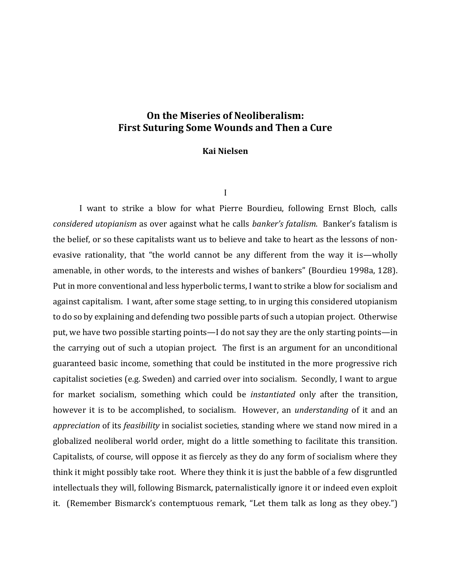# **On the Miseries of Neoliberalism: First Suturing Some Wounds and Then a Cure**

## **Kai Nielsen**

I

I want to strike a blow for what Pierre Bourdieu, following Ernst Bloch, calls *considered utopianism* as over against what he calls *banker's fatalism*. Banker's fatalism is the belief, or so these capitalists want us to believe and take to heart as the lessons of nonevasive rationality, that "the world cannot be any different from the way it is—wholly amenable, in other words, to the interests and wishes of bankers" (Bourdieu 1998a, 128). Put in more conventional and less hyperbolic terms, I want to strike a blow for socialism and against capitalism. I want, after some stage setting, to in urging this considered utopianism to do so by explaining and defending two possible parts of such a utopian project. Otherwise put, we have two possible starting points—I do not say they are the only starting points—in the carrying out of such a utopian project. The first is an argument for an unconditional guaranteed basic income, something that could be instituted in the more progressive rich capitalist societies (e.g. Sweden) and carried over into socialism. Secondly, I want to argue for market socialism, something which could be *instantiated* only after the transition, however it is to be accomplished, to socialism. However, an *understanding* of it and an *appreciation* of its *feasibility* in socialist societies, standing where we stand now mired in a globalized neoliberal world order, might do a little something to facilitate this transition. Capitalists, of course, will oppose it as fiercely as they do any form of socialism where they think it might possibly take root. Where they think it is just the babble of a few disgruntled intellectuals they will, following Bismarck, paternalistically ignore it or indeed even exploit it. (Remember Bismarck's contemptuous remark, "Let them talk as long as they obey.")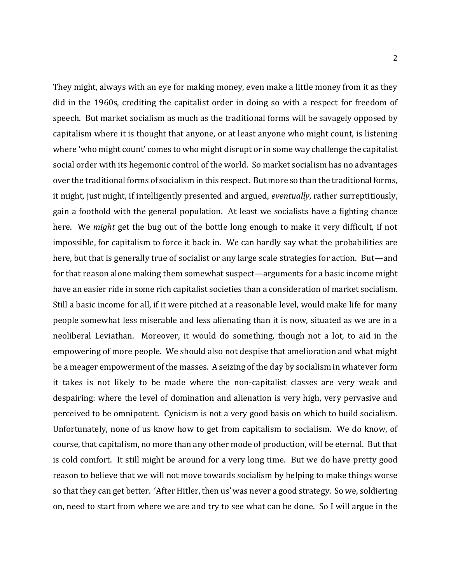They might, always with an eye for making money, even make a little money from it as they did in the 1960s, crediting the capitalist order in doing so with a respect for freedom of speech. But market socialism as much as the traditional forms will be savagely opposed by capitalism where it is thought that anyone, or at least anyone who might count, is listening where 'who might count' comes to who might disrupt or in some way challenge the capitalist social order with its hegemonic control of the world. So market socialism has no advantages over the traditional forms of socialism in this respect. But more so than the traditional forms, it might, just might, if intelligently presented and argued, *eventually*, rather surreptitiously, gain a foothold with the general population. At least we socialists have a fighting chance here. We *might* get the bug out of the bottle long enough to make it very difficult, if not impossible, for capitalism to force it back in. We can hardly say what the probabilities are here, but that is generally true of socialist or any large scale strategies for action. But—and for that reason alone making them somewhat suspect—arguments for a basic income might have an easier ride in some rich capitalist societies than a consideration of market socialism. Still a basic income for all, if it were pitched at a reasonable level, would make life for many people somewhat less miserable and less alienating than it is now, situated as we are in a neoliberal Leviathan. Moreover, it would do something, though not a lot, to aid in the empowering of more people. We should also not despise that amelioration and what might be a meager empowerment of the masses. A seizing of the day by socialism in whatever form it takes is not likely to be made where the non-capitalist classes are very weak and despairing: where the level of domination and alienation is very high, very pervasive and perceived to be omnipotent. Cynicism is not a very good basis on which to build socialism. Unfortunately, none of us know how to get from capitalism to socialism. We do know, of course, that capitalism, no more than any other mode of production, will be eternal. But that is cold comfort. It still might be around for a very long time. But we do have pretty good reason to believe that we will not move towards socialism by helping to make things worse so that they can get better. 'After Hitler, then us' was never a good strategy. So we, soldiering on, need to start from where we are and try to see what can be done. So I will argue in the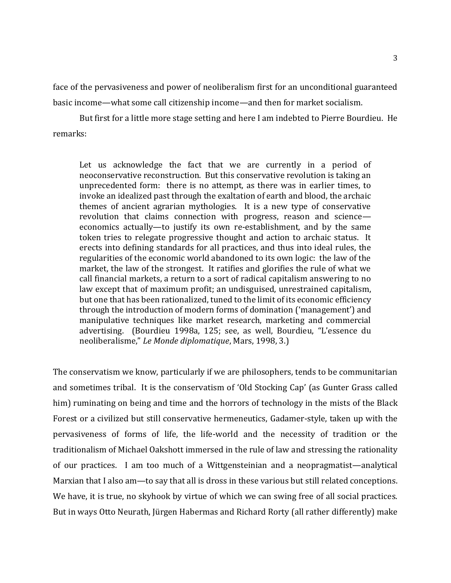face of the pervasiveness and power of neoliberalism first for an unconditional guaranteed basic income—what some call citizenship income—and then for market socialism.

But first for a little more stage setting and here I am indebted to Pierre Bourdieu. He remarks:

Let us acknowledge the fact that we are currently in a period of neoconservative reconstruction. But this conservative revolution is taking an unprecedented form: there is no attempt, as there was in earlier times, to invoke an idealized past through the exaltation of earth and blood, the archaic themes of ancient agrarian mythologies. It is a new type of conservative revolution that claims connection with progress, reason and science economics actually—to justify its own re-establishment, and by the same token tries to relegate progressive thought and action to archaic status. It erects into defining standards for all practices, and thus into ideal rules, the regularities of the economic world abandoned to its own logic: the law of the market, the law of the strongest. It ratifies and glorifies the rule of what we call financial markets, a return to a sort of radical capitalism answering to no law except that of maximum profit; an undisguised, unrestrained capitalism, but one that has been rationalized, tuned to the limit of its economic efficiency through the introduction of modern forms of domination ('management') and manipulative techniques like market research, marketing and commercial advertising. (Bourdieu 1998a, 125; see, as well, Bourdieu, "L'essence du neoliberalisme," *Le Monde diplomatique*, Mars, 1998, 3.)

The conservatism we know, particularly if we are philosophers, tends to be communitarian and sometimes tribal. It is the conservatism of 'Old Stocking Cap' (as Gunter Grass called him) ruminating on being and time and the horrors of technology in the mists of the Black Forest or a civilized but still conservative hermeneutics, Gadamer-style, taken up with the pervasiveness of forms of life, the life-world and the necessity of tradition or the traditionalism of Michael Oakshott immersed in the rule of law and stressing the rationality of our practices. I am too much of a Wittgensteinian and a neopragmatist—analytical Marxian that I also am—to say that all is dross in these various but still related conceptions. We have, it is true, no skyhook by virtue of which we can swing free of all social practices. But in ways Otto Neurath, Jürgen Habermas and Richard Rorty (all rather differently) make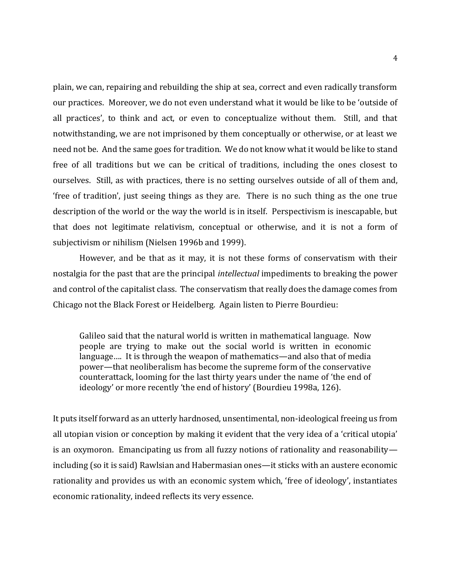plain, we can, repairing and rebuilding the ship at sea, correct and even radically transform our practices. Moreover, we do not even understand what it would be like to be 'outside of all practices', to think and act, or even to conceptualize without them. Still, and that notwithstanding, we are not imprisoned by them conceptually or otherwise, or at least we need not be. And the same goes for tradition. We do not know what it would be like to stand free of all traditions but we can be critical of traditions, including the ones closest to ourselves. Still, as with practices, there is no setting ourselves outside of all of them and, 'free of tradition', just seeing things as they are. There is no such thing as the one true description of the world or the way the world is in itself. Perspectivism is inescapable, but that does not legitimate relativism, conceptual or otherwise, and it is not a form of subjectivism or nihilism (Nielsen 1996b and 1999).

However, and be that as it may, it is not these forms of conservatism with their nostalgia for the past that are the principal *intellectual* impediments to breaking the power and control of the capitalist class. The conservatism that really does the damage comes from Chicago not the Black Forest or Heidelberg. Again listen to Pierre Bourdieu:

Galileo said that the natural world is written in mathematical language. Now people are trying to make out the social world is written in economic language…. It is through the weapon of mathematics—and also that of media power—that neoliberalism has become the supreme form of the conservative counterattack, looming for the last thirty years under the name of 'the end of ideology' or more recently 'the end of history' (Bourdieu 1998a, 126).

It puts itself forward as an utterly hardnosed, unsentimental, non-ideological freeing us from all utopian vision or conception by making it evident that the very idea of a 'critical utopia' is an oxymoron. Emancipating us from all fuzzy notions of rationality and reasonability including (so it is said) Rawlsian and Habermasian ones—it sticks with an austere economic rationality and provides us with an economic system which, 'free of ideology', instantiates economic rationality, indeed reflects its very essence.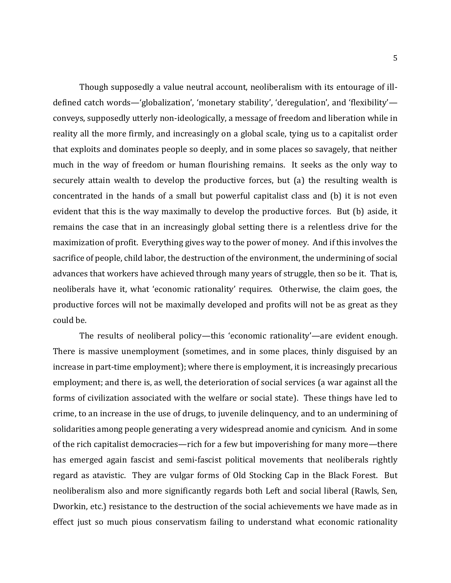Though supposedly a value neutral account, neoliberalism with its entourage of illdefined catch words—'globalization', 'monetary stability', 'deregulation', and 'flexibility' conveys, supposedly utterly non-ideologically, a message of freedom and liberation while in reality all the more firmly, and increasingly on a global scale, tying us to a capitalist order that exploits and dominates people so deeply, and in some places so savagely, that neither much in the way of freedom or human flourishing remains. It seeks as the only way to securely attain wealth to develop the productive forces, but (a) the resulting wealth is concentrated in the hands of a small but powerful capitalist class and (b) it is not even evident that this is the way maximally to develop the productive forces. But (b) aside, it remains the case that in an increasingly global setting there is a relentless drive for the maximization of profit. Everything gives way to the power of money. And if this involves the sacrifice of people, child labor, the destruction of the environment, the undermining of social advances that workers have achieved through many years of struggle, then so be it. That is, neoliberals have it, what 'economic rationality' requires. Otherwise, the claim goes, the productive forces will not be maximally developed and profits will not be as great as they could be.

The results of neoliberal policy—this 'economic rationality'—are evident enough. There is massive unemployment (sometimes, and in some places, thinly disguised by an increase in part-time employment); where there is employment, it is increasingly precarious employment; and there is, as well, the deterioration of social services (a war against all the forms of civilization associated with the welfare or social state). These things have led to crime, to an increase in the use of drugs, to juvenile delinquency, and to an undermining of solidarities among people generating a very widespread anomie and cynicism. And in some of the rich capitalist democracies—rich for a few but impoverishing for many more—there has emerged again fascist and semi-fascist political movements that neoliberals rightly regard as atavistic. They are vulgar forms of Old Stocking Cap in the Black Forest. But neoliberalism also and more significantly regards both Left and social liberal (Rawls, Sen, Dworkin, etc.) resistance to the destruction of the social achievements we have made as in effect just so much pious conservatism failing to understand what economic rationality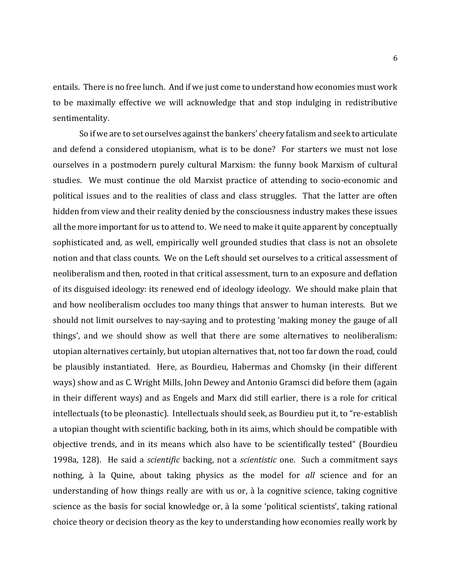entails. There is no free lunch. And if we just come to understand how economies must work to be maximally effective we will acknowledge that and stop indulging in redistributive sentimentality.

So if we are to set ourselves against the bankers' cheery fatalism and seek to articulate and defend a considered utopianism, what is to be done? For starters we must not lose ourselves in a postmodern purely cultural Marxism: the funny book Marxism of cultural studies. We must continue the old Marxist practice of attending to socio-economic and political issues and to the realities of class and class struggles. That the latter are often hidden from view and their reality denied by the consciousness industry makes these issues all the more important for us to attend to. We need to make it quite apparent by conceptually sophisticated and, as well, empirically well grounded studies that class is not an obsolete notion and that class counts. We on the Left should set ourselves to a critical assessment of neoliberalism and then, rooted in that critical assessment, turn to an exposure and deflation of its disguised ideology: its renewed end of ideology ideology. We should make plain that and how neoliberalism occludes too many things that answer to human interests. But we should not limit ourselves to nay-saying and to protesting 'making money the gauge of all things', and we should show as well that there are some alternatives to neoliberalism: utopian alternatives certainly, but utopian alternatives that, not too far down the road, could be plausibly instantiated. Here, as Bourdieu, Habermas and Chomsky (in their different ways) show and as C. Wright Mills, John Dewey and Antonio Gramsci did before them (again in their different ways) and as Engels and Marx did still earlier, there is a role for critical intellectuals (to be pleonastic). Intellectuals should seek, as Bourdieu put it, to "re-establish a utopian thought with scientific backing, both in its aims, which should be compatible with objective trends, and in its means which also have to be scientifically tested" (Bourdieu 1998a, 128). He said a *scientific* backing, not a *scientistic* one. Such a commitment says nothing, à la Quine, about taking physics as the model for *all* science and for an understanding of how things really are with us or, à la cognitive science, taking cognitive science as the basis for social knowledge or, à la some 'political scientists', taking rational choice theory or decision theory as the key to understanding how economies really work by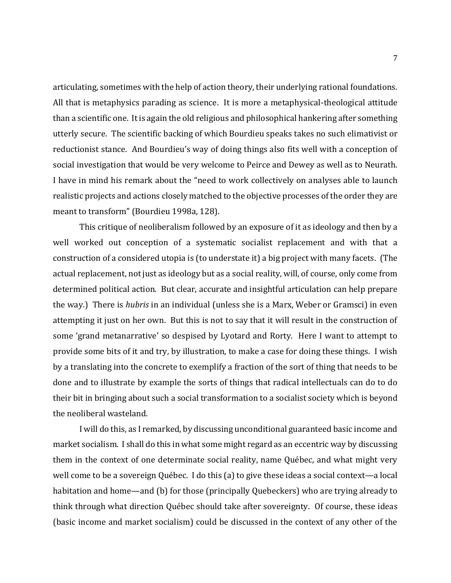articulating, sometimes with the help of action theory, their underlying rational foundations. All that is metaphysics parading as science. It is more a metaphysical-theological attitude than a scientific one. It is again the old religious and philosophical hankering after something utterly secure. The scientific backing of which Bourdieu speaks takes no such elimativist or reductionist stance. And Bourdieu's way of doing things also fits well with a conception of social investigation that would be very welcome to Peirce and Dewey as well as to Neurath. I have in mind his remark about the "need to work collectively on analyses able to launch realistic projects and actions closely matched to the objective processes of the order they are meant to transform" (Bourdieu 1998a, 128).

This critique of neoliberalism followed by an exposure of it as ideology and then by a well worked out conception of a systematic socialist replacement and with that a construction of a considered utopia is (to understate it) a big project with many facets. (The actual replacement, not just as ideology but as a social reality, will, of course, only come from determined political action. But clear, accurate and insightful articulation can help prepare the way.) There is *hubris* in an individual (unless she is a Marx, Weber or Gramsci) in even attempting it just on her own. But this is not to say that it will result in the construction of some 'grand metanarrative' so despised by Lyotard and Rorty. Here I want to attempt to provide some bits of it and try, by illustration, to make a case for doing these things. I wish by a translating into the concrete to exemplify a fraction of the sort of thing that needs to be done and to illustrate by example the sorts of things that radical intellectuals can do to do their bit in bringing about such a social transformation to a socialist society which is beyond the neoliberal wasteland.

I will do this, as I remarked, by discussing unconditional guaranteed basic income and market socialism. I shall do this in what some might regard as an eccentric way by discussing them in the context of one determinate social reality, name Québec, and what might very well come to be a sovereign Québec. I do this (a) to give these ideas a social context—a local habitation and home—and (b) for those (principally Quebeckers) who are trying already to think through what direction Québec should take after sovereignty. Of course, these ideas (basic income and market socialism) could be discussed in the context of any other of the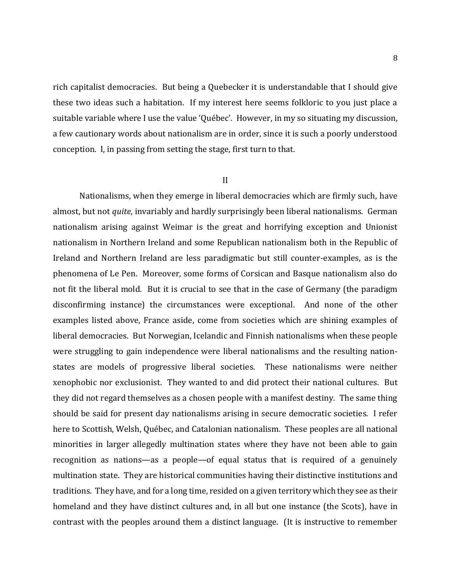rich capitalist democracies. But being a Quebecker it is understandable that I should give these two ideas such a habitation. If my interest here seems folkloric to you just place a suitable variable where I use the value 'Québec'. However, in my so situating my discussion, a few cautionary words about nationalism are in order, since it is such a poorly understood conception. I, in passing from setting the stage, first turn to that.

### II

Nationalisms, when they emerge in liberal democracies which are firmly such, have almost, but not *quite*, invariably and hardly surprisingly been liberal nationalisms. German nationalism arising against Weimar is the great and horrifying exception and Unionist nationalism in Northern Ireland and some Republican nationalism both in the Republic of Ireland and Northern Ireland are less paradigmatic but still counter-examples, as is the phenomena of Le Pen. Moreover, some forms of Corsican and Basque nationalism also do not fit the liberal mold. But it is crucial to see that in the case of Germany (the paradigm disconfirming instance) the circumstances were exceptional. And none of the other examples listed above, France aside, come from societies which are shining examples of liberal democracies. But Norwegian, Icelandic and Finnish nationalisms when these people were struggling to gain independence were liberal nationalisms and the resulting nationstates are models of progressive liberal societies. These nationalisms were neither xenophobic nor exclusionist. They wanted to and did protect their national cultures. But they did not regard themselves as a chosen people with a manifest destiny. The same thing should be said for present day nationalisms arising in secure democratic societies. I refer here to Scottish, Welsh, Québec, and Catalonian nationalism. These peoples are all national minorities in larger allegedly multination states where they have not been able to gain recognition as nations—as a people—of equal status that is required of a genuinely multination state. They are historical communities having their distinctive institutions and traditions. They have, and for a long time, resided on a given territory which they see as their homeland and they have distinct cultures and, in all but one instance (the Scots), have in contrast with the peoples around them a distinct language. (It is instructive to remember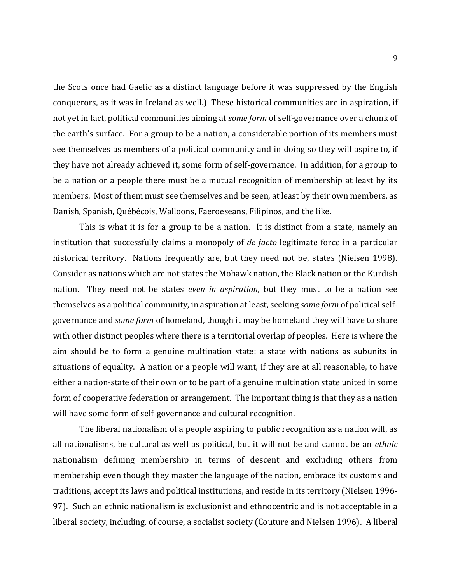the Scots once had Gaelic as a distinct language before it was suppressed by the English conquerors, as it was in Ireland as well.) These historical communities are in aspiration, if not yet in fact, political communities aiming at *some form* of self-governance over a chunk of the earth's surface. For a group to be a nation, a considerable portion of its members must see themselves as members of a political community and in doing so they will aspire to, if they have not already achieved it, some form of self-governance. In addition, for a group to be a nation or a people there must be a mutual recognition of membership at least by its members. Most of them must see themselves and be seen, at least by their own members, as Danish, Spanish, Québécois, Walloons, Faeroeseans, Filipinos, and the like.

This is what it is for a group to be a nation. It is distinct from a state, namely an institution that successfully claims a monopoly of *de facto* legitimate force in a particular historical territory. Nations frequently are, but they need not be, states (Nielsen 1998). Consider as nations which are not states the Mohawk nation, the Black nation or the Kurdish nation. They need not be states *even in aspiration,* but they must to be a nation see themselves as a political community, in aspiration at least, seeking *some form* of political selfgovernance and *some form* of homeland, though it may be homeland they will have to share with other distinct peoples where there is a territorial overlap of peoples. Here is where the aim should be to form a genuine multination state: a state with nations as subunits in situations of equality. A nation or a people will want, if they are at all reasonable, to have either a nation-state of their own or to be part of a genuine multination state united in some form of cooperative federation or arrangement. The important thing is that they as a nation will have some form of self-governance and cultural recognition.

The liberal nationalism of a people aspiring to public recognition as a nation will, as all nationalisms, be cultural as well as political, but it will not be and cannot be an *ethnic* nationalism defining membership in terms of descent and excluding others from membership even though they master the language of the nation, embrace its customs and traditions, accept its laws and political institutions, and reside in its territory (Nielsen 1996- 97). Such an ethnic nationalism is exclusionist and ethnocentric and is not acceptable in a liberal society, including, of course, a socialist society (Couture and Nielsen 1996). A liberal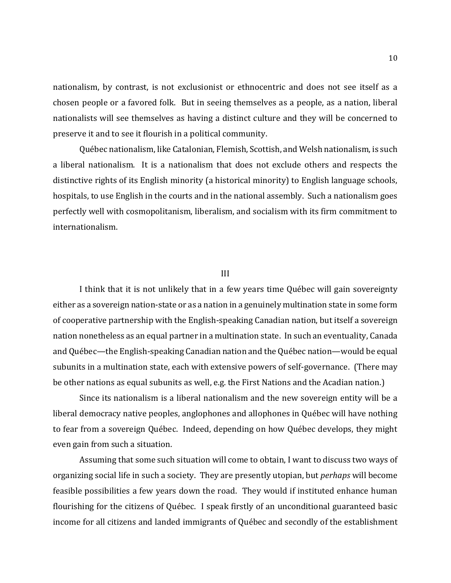nationalism, by contrast, is not exclusionist or ethnocentric and does not see itself as a chosen people or a favored folk. But in seeing themselves as a people, as a nation, liberal nationalists will see themselves as having a distinct culture and they will be concerned to preserve it and to see it flourish in a political community.

Québec nationalism, like Catalonian, Flemish, Scottish, and Welsh nationalism, is such a liberal nationalism. It is a nationalism that does not exclude others and respects the distinctive rights of its English minority (a historical minority) to English language schools, hospitals, to use English in the courts and in the national assembly. Such a nationalism goes perfectly well with cosmopolitanism, liberalism, and socialism with its firm commitment to internationalism.

III

I think that it is not unlikely that in a few years time Québec will gain sovereignty either as a sovereign nation-state or as a nation in a genuinely multination state in some form of cooperative partnership with the English-speaking Canadian nation, but itself a sovereign nation nonetheless as an equal partner in a multination state. In such an eventuality, Canada and Québec—the English-speaking Canadian nation and the Québec nation—would be equal subunits in a multination state, each with extensive powers of self-governance. (There may be other nations as equal subunits as well, e.g. the First Nations and the Acadian nation.)

Since its nationalism is a liberal nationalism and the new sovereign entity will be a liberal democracy native peoples, anglophones and allophones in Québec will have nothing to fear from a sovereign Québec. Indeed, depending on how Québec develops, they might even gain from such a situation.

Assuming that some such situation will come to obtain, I want to discuss two ways of organizing social life in such a society. They are presently utopian, but *perhaps* will become feasible possibilities a few years down the road. They would if instituted enhance human flourishing for the citizens of Québec. I speak firstly of an unconditional guaranteed basic income for all citizens and landed immigrants of Québec and secondly of the establishment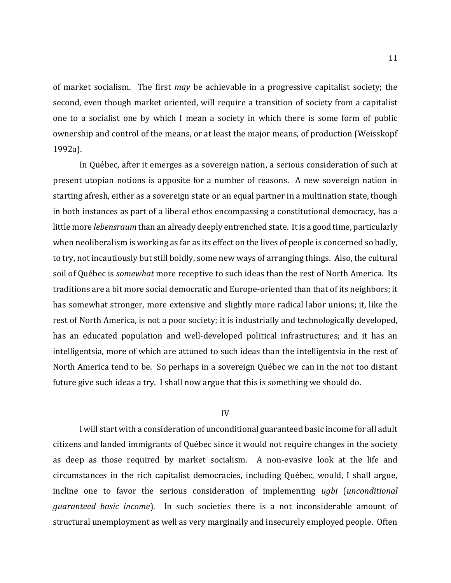of market socialism. The first *may* be achievable in a progressive capitalist society; the second, even though market oriented, will require a transition of society from a capitalist one to a socialist one by which I mean a society in which there is some form of public ownership and control of the means, or at least the major means, of production (Weisskopf 1992a).

In Québec, after it emerges as a sovereign nation, a serious consideration of such at present utopian notions is apposite for a number of reasons. A new sovereign nation in starting afresh, either as a sovereign state or an equal partner in a multination state, though in both instances as part of a liberal ethos encompassing a constitutional democracy, has a little more *lebensraum* than an already deeply entrenched state. It is a good time, particularly when neoliberalism is working as far as its effect on the lives of people is concerned so badly, to try, not incautiously but still boldly, some new ways of arranging things. Also, the cultural soil of Québec is *somewhat* more receptive to such ideas than the rest of North America. Its traditions are a bit more social democratic and Europe-oriented than that of its neighbors; it has somewhat stronger, more extensive and slightly more radical labor unions; it, like the rest of North America, is not a poor society; it is industrially and technologically developed, has an educated population and well-developed political infrastructures; and it has an intelligentsia, more of which are attuned to such ideas than the intelligentsia in the rest of North America tend to be. So perhaps in a sovereign Québec we can in the not too distant future give such ideas a try. I shall now argue that this is something we should do.

### IV

I will start with a consideration of unconditional guaranteed basic income for all adult citizens and landed immigrants of Québec since it would not require changes in the society as deep as those required by market socialism. A non-evasive look at the life and circumstances in the rich capitalist democracies, including Québec, would, I shall argue, incline one to favor the serious consideration of implementing *ugbi* (*unconditional guaranteed basic income*). In such societies there is a not inconsiderable amount of structural unemployment as well as very marginally and insecurely employed people. Often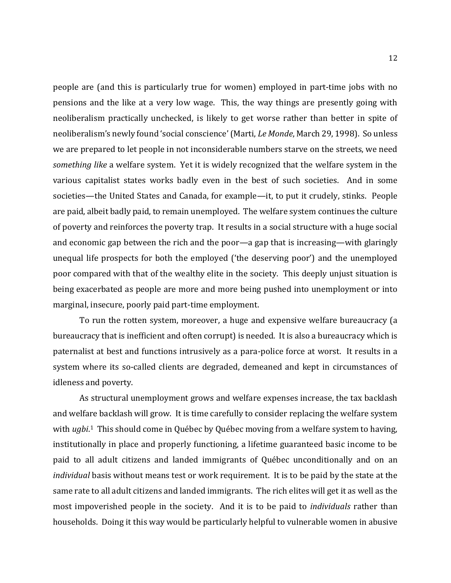people are (and this is particularly true for women) employed in part-time jobs with no pensions and the like at a very low wage. This, the way things are presently going with neoliberalism practically unchecked, is likely to get worse rather than better in spite of neoliberalism's newly found 'social conscience' (Marti, *Le Monde*, March 29, 1998). So unless we are prepared to let people in not inconsiderable numbers starve on the streets, we need *something like* a welfare system. Yet it is widely recognized that the welfare system in the various capitalist states works badly even in the best of such societies. And in some societies—the United States and Canada, for example—it, to put it crudely, stinks. People are paid, albeit badly paid, to remain unemployed. The welfare system continues the culture of poverty and reinforces the poverty trap. It results in a social structure with a huge social and economic gap between the rich and the poor—a gap that is increasing—with glaringly unequal life prospects for both the employed ('the deserving poor') and the unemployed poor compared with that of the wealthy elite in the society. This deeply unjust situation is being exacerbated as people are more and more being pushed into unemployment or into marginal, insecure, poorly paid part-time employment.

To run the rotten system, moreover, a huge and expensive welfare bureaucracy (a bureaucracy that is inefficient and often corrupt) is needed. It is also a bureaucracy which is paternalist at best and functions intrusively as a para-police force at worst. It results in a system where its so-called clients are degraded, demeaned and kept in circumstances of idleness and poverty.

As structural unemployment grows and welfare expenses increase, the tax backlash and welfare backlash will grow. It is time carefully to consider replacing the welfare system with *ugbi*. <sup>1</sup> This should come in Québec by Québec moving from a welfare system to having, institutionally in place and properly functioning, a lifetime guaranteed basic income to be paid to all adult citizens and landed immigrants of Québec unconditionally and on an *individual* basis without means test or work requirement. It is to be paid by the state at the same rate to all adult citizens and landed immigrants. The rich elites will get it as well as the most impoverished people in the society. And it is to be paid to *individuals* rather than households. Doing it this way would be particularly helpful to vulnerable women in abusive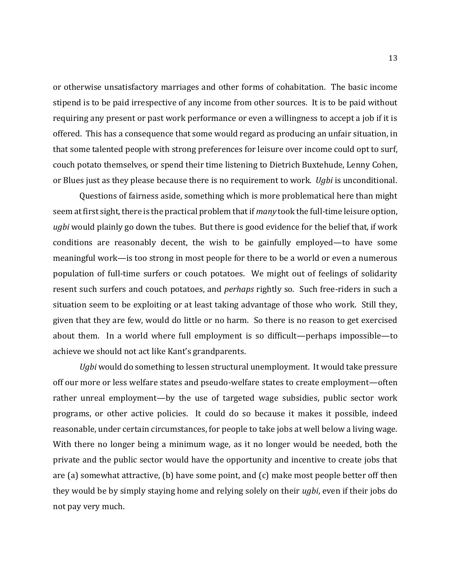or otherwise unsatisfactory marriages and other forms of cohabitation. The basic income stipend is to be paid irrespective of any income from other sources. It is to be paid without requiring any present or past work performance or even a willingness to accept a job if it is offered. This has a consequence that some would regard as producing an unfair situation, in that some talented people with strong preferences for leisure over income could opt to surf, couch potato themselves, or spend their time listening to Dietrich Buxtehude, Lenny Cohen, or Blues just as they please because there is no requirement to work. *Ugbi* is unconditional.

Questions of fairness aside, something which is more problematical here than might seem at first sight, there is the practical problem that if *many* took the full-time leisure option, *ugbi* would plainly go down the tubes. But there is good evidence for the belief that, if work conditions are reasonably decent, the wish to be gainfully employed—to have some meaningful work—is too strong in most people for there to be a world or even a numerous population of full-time surfers or couch potatoes. We might out of feelings of solidarity resent such surfers and couch potatoes, and *perhaps* rightly so. Such free-riders in such a situation seem to be exploiting or at least taking advantage of those who work. Still they, given that they are few, would do little or no harm. So there is no reason to get exercised about them. In a world where full employment is so difficult—perhaps impossible—to achieve we should not act like Kant's grandparents.

*Ugbi* would do something to lessen structural unemployment. It would take pressure off our more or less welfare states and pseudo-welfare states to create employment—often rather unreal employment—by the use of targeted wage subsidies, public sector work programs, or other active policies. It could do so because it makes it possible, indeed reasonable, under certain circumstances, for people to take jobs at well below a living wage. With there no longer being a minimum wage, as it no longer would be needed, both the private and the public sector would have the opportunity and incentive to create jobs that are (a) somewhat attractive, (b) have some point, and (c) make most people better off then they would be by simply staying home and relying solely on their *ugbi*, even if their jobs do not pay very much.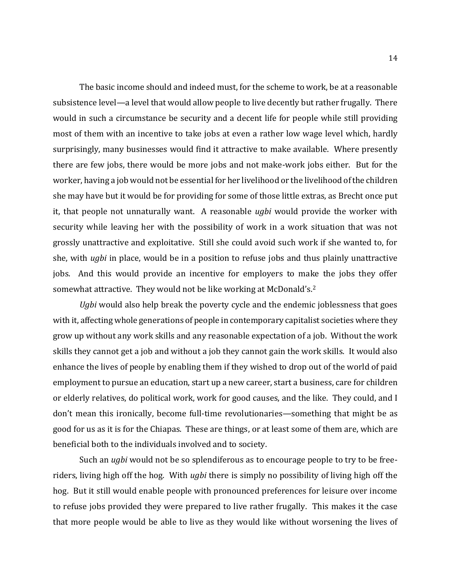The basic income should and indeed must, for the scheme to work, be at a reasonable subsistence level—a level that would allow people to live decently but rather frugally. There would in such a circumstance be security and a decent life for people while still providing most of them with an incentive to take jobs at even a rather low wage level which, hardly surprisingly, many businesses would find it attractive to make available. Where presently there are few jobs, there would be more jobs and not make-work jobs either. But for the worker, having a job would not be essential for her livelihood or the livelihood of the children she may have but it would be for providing for some of those little extras, as Brecht once put it, that people not unnaturally want. A reasonable *ugbi* would provide the worker with security while leaving her with the possibility of work in a work situation that was not grossly unattractive and exploitative. Still she could avoid such work if she wanted to, for she, with *ugbi* in place, would be in a position to refuse jobs and thus plainly unattractive jobs. And this would provide an incentive for employers to make the jobs they offer somewhat attractive. They would not be like working at McDonald's.<sup>2</sup>

*Ugbi* would also help break the poverty cycle and the endemic joblessness that goes with it, affecting whole generations of people in contemporary capitalist societies where they grow up without any work skills and any reasonable expectation of a job. Without the work skills they cannot get a job and without a job they cannot gain the work skills. It would also enhance the lives of people by enabling them if they wished to drop out of the world of paid employment to pursue an education, start up a new career, start a business, care for children or elderly relatives, do political work, work for good causes, and the like. They could, and I don't mean this ironically, become full-time revolutionaries—something that might be as good for us as it is for the Chiapas. These are things, or at least some of them are, which are beneficial both to the individuals involved and to society.

Such an *ugbi* would not be so splendiferous as to encourage people to try to be freeriders, living high off the hog. With *ugbi* there is simply no possibility of living high off the hog. But it still would enable people with pronounced preferences for leisure over income to refuse jobs provided they were prepared to live rather frugally. This makes it the case that more people would be able to live as they would like without worsening the lives of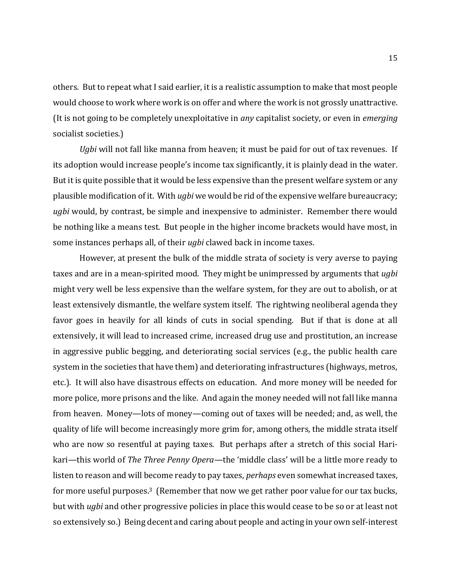others. But to repeat what I said earlier, it is a realistic assumption to make that most people would choose to work where work is on offer and where the work is not grossly unattractive. (It is not going to be completely unexploitative in *any* capitalist society, or even in *emerging* socialist societies.)

*Ugbi* will not fall like manna from heaven; it must be paid for out of tax revenues. If its adoption would increase people's income tax significantly, it is plainly dead in the water. But it is quite possible that it would be less expensive than the present welfare system or any plausible modification of it. With *ugbi* we would be rid of the expensive welfare bureaucracy; *ugbi* would, by contrast, be simple and inexpensive to administer. Remember there would be nothing like a means test. But people in the higher income brackets would have most, in some instances perhaps all, of their *ugbi* clawed back in income taxes.

However, at present the bulk of the middle strata of society is very averse to paying taxes and are in a mean-spirited mood. They might be unimpressed by arguments that *ugbi* might very well be less expensive than the welfare system, for they are out to abolish, or at least extensively dismantle, the welfare system itself. The rightwing neoliberal agenda they favor goes in heavily for all kinds of cuts in social spending. But if that is done at all extensively, it will lead to increased crime, increased drug use and prostitution, an increase in aggressive public begging, and deteriorating social services (e.g., the public health care system in the societies that have them) and deteriorating infrastructures (highways, metros, etc.). It will also have disastrous effects on education. And more money will be needed for more police, more prisons and the like. And again the money needed will not fall like manna from heaven. Money—lots of money—coming out of taxes will be needed; and, as well, the quality of life will become increasingly more grim for, among others, the middle strata itself who are now so resentful at paying taxes. But perhaps after a stretch of this social Harikari—this world of *The Three Penny Opera*—the 'middle class' will be a little more ready to listen to reason and will become ready to pay taxes, *perhaps* even somewhat increased taxes, for more useful purposes.<sup>3</sup> (Remember that now we get rather poor value for our tax bucks, but with *ugbi* and other progressive policies in place this would cease to be so or at least not so extensively so.) Being decent and caring about people and acting in your own self-interest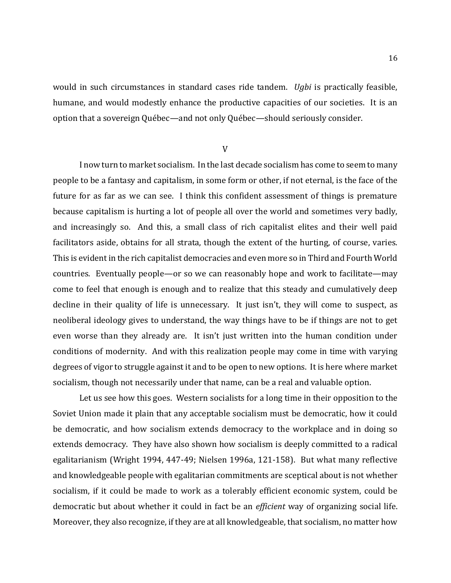would in such circumstances in standard cases ride tandem. *Ugbi* is practically feasible, humane, and would modestly enhance the productive capacities of our societies. It is an option that a sovereign Québec—and not only Québec—should seriously consider.

V

I now turn to market socialism. In the last decade socialism has come to seem to many people to be a fantasy and capitalism, in some form or other, if not eternal, is the face of the future for as far as we can see. I think this confident assessment of things is premature because capitalism is hurting a lot of people all over the world and sometimes very badly, and increasingly so. And this, a small class of rich capitalist elites and their well paid facilitators aside, obtains for all strata, though the extent of the hurting, of course, varies. This is evident in the rich capitalist democracies and even more so in Third and Fourth World countries. Eventually people—or so we can reasonably hope and work to facilitate—may come to feel that enough is enough and to realize that this steady and cumulatively deep decline in their quality of life is unnecessary. It just isn't, they will come to suspect, as neoliberal ideology gives to understand, the way things have to be if things are not to get even worse than they already are. It isn't just written into the human condition under conditions of modernity. And with this realization people may come in time with varying degrees of vigor to struggle against it and to be open to new options. It is here where market socialism, though not necessarily under that name, can be a real and valuable option.

Let us see how this goes. Western socialists for a long time in their opposition to the Soviet Union made it plain that any acceptable socialism must be democratic, how it could be democratic, and how socialism extends democracy to the workplace and in doing so extends democracy. They have also shown how socialism is deeply committed to a radical egalitarianism (Wright 1994, 447-49; Nielsen 1996a, 121-158). But what many reflective and knowledgeable people with egalitarian commitments are sceptical about is not whether socialism, if it could be made to work as a tolerably efficient economic system, could be democratic but about whether it could in fact be an *efficient* way of organizing social life. Moreover, they also recognize, if they are at all knowledgeable, that socialism, no matter how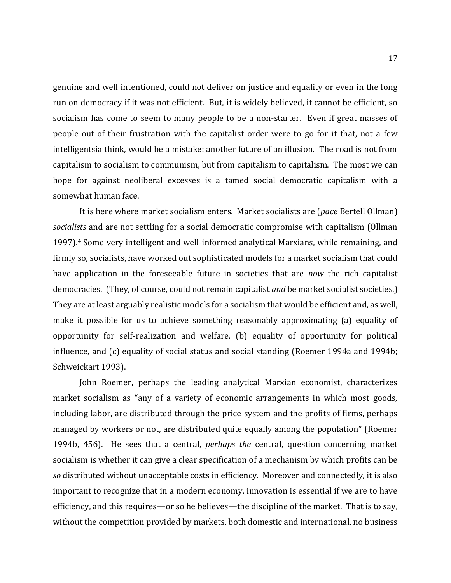genuine and well intentioned, could not deliver on justice and equality or even in the long run on democracy if it was not efficient. But, it is widely believed, it cannot be efficient, so socialism has come to seem to many people to be a non-starter. Even if great masses of people out of their frustration with the capitalist order were to go for it that, not a few intelligentsia think, would be a mistake: another future of an illusion. The road is not from capitalism to socialism to communism, but from capitalism to capitalism. The most we can hope for against neoliberal excesses is a tamed social democratic capitalism with a somewhat human face.

It is here where market socialism enters. Market socialists are (*pace* Bertell Ollman) *socialists* and are not settling for a social democratic compromise with capitalism (Ollman 1997). <sup>4</sup> Some very intelligent and well-informed analytical Marxians, while remaining, and firmly so, socialists, have worked out sophisticated models for a market socialism that could have application in the foreseeable future in societies that are *now* the rich capitalist democracies. (They, of course, could not remain capitalist *and* be market socialist societies.) They are at least arguably realistic models for a socialism that would be efficient and, as well, make it possible for us to achieve something reasonably approximating (a) equality of opportunity for self-realization and welfare, (b) equality of opportunity for political influence, and (c) equality of social status and social standing (Roemer 1994a and 1994b; Schweickart 1993).

John Roemer, perhaps the leading analytical Marxian economist, characterizes market socialism as "any of a variety of economic arrangements in which most goods, including labor, are distributed through the price system and the profits of firms, perhaps managed by workers or not, are distributed quite equally among the population" (Roemer 1994b, 456). He sees that a central, *perhaps the* central, question concerning market socialism is whether it can give a clear specification of a mechanism by which profits can be *so* distributed without unacceptable costs in efficiency. Moreover and connectedly, it is also important to recognize that in a modern economy, innovation is essential if we are to have efficiency, and this requires—or so he believes—the discipline of the market. That is to say, without the competition provided by markets, both domestic and international, no business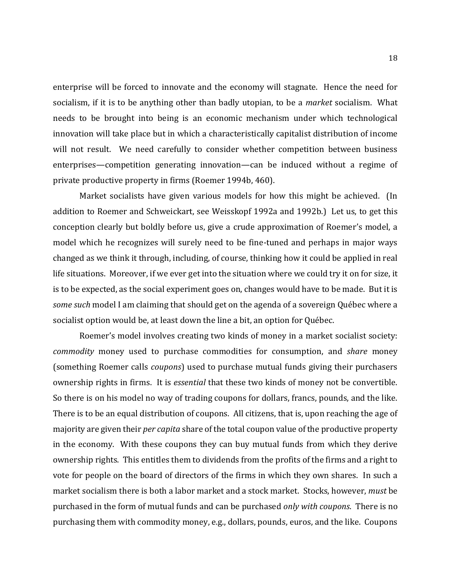enterprise will be forced to innovate and the economy will stagnate. Hence the need for socialism, if it is to be anything other than badly utopian, to be a *market* socialism. What needs to be brought into being is an economic mechanism under which technological innovation will take place but in which a characteristically capitalist distribution of income will not result. We need carefully to consider whether competition between business enterprises—competition generating innovation—can be induced without a regime of private productive property in firms (Roemer 1994b, 460).

Market socialists have given various models for how this might be achieved. (In addition to Roemer and Schweickart, see Weisskopf 1992a and 1992b.) Let us, to get this conception clearly but boldly before us, give a crude approximation of Roemer's model, a model which he recognizes will surely need to be fine-tuned and perhaps in major ways changed as we think it through, including, of course, thinking how it could be applied in real life situations. Moreover, if we ever get into the situation where we could try it on for size, it is to be expected, as the social experiment goes on, changes would have to be made. But it is *some such* model I am claiming that should get on the agenda of a sovereign Québec where a socialist option would be, at least down the line a bit, an option for Québec.

Roemer's model involves creating two kinds of money in a market socialist society: *commodity* money used to purchase commodities for consumption, and *share* money (something Roemer calls *coupons*) used to purchase mutual funds giving their purchasers ownership rights in firms. It is *essential* that these two kinds of money not be convertible. So there is on his model no way of trading coupons for dollars, francs, pounds, and the like. There is to be an equal distribution of coupons. All citizens, that is, upon reaching the age of majority are given their *per capita* share of the total coupon value of the productive property in the economy. With these coupons they can buy mutual funds from which they derive ownership rights. This entitles them to dividends from the profits of the firms and a right to vote for people on the board of directors of the firms in which they own shares. In such a market socialism there is both a labor market and a stock market. Stocks, however, *must* be purchased in the form of mutual funds and can be purchased *only with coupons*. There is no purchasing them with commodity money, e.g., dollars, pounds, euros, and the like. Coupons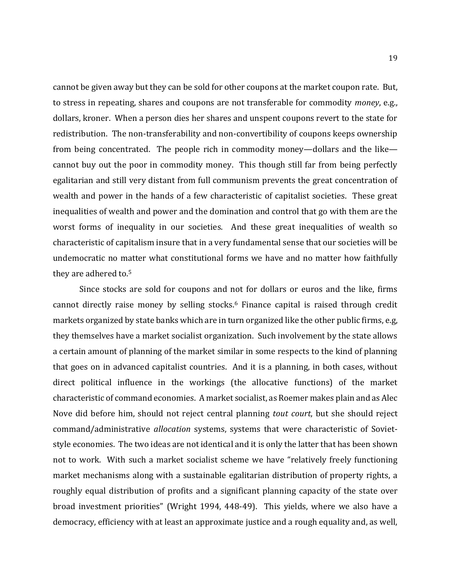cannot be given away but they can be sold for other coupons at the market coupon rate. But, to stress in repeating, shares and coupons are not transferable for commodity *money*, e.g., dollars, kroner. When a person dies her shares and unspent coupons revert to the state for redistribution. The non-transferability and non-convertibility of coupons keeps ownership from being concentrated. The people rich in commodity money—dollars and the like cannot buy out the poor in commodity money. This though still far from being perfectly egalitarian and still very distant from full communism prevents the great concentration of wealth and power in the hands of a few characteristic of capitalist societies. These great inequalities of wealth and power and the domination and control that go with them are the worst forms of inequality in our societies. And these great inequalities of wealth so characteristic of capitalism insure that in a very fundamental sense that our societies will be undemocratic no matter what constitutional forms we have and no matter how faithfully they are adhered to.<sup>5</sup>

Since stocks are sold for coupons and not for dollars or euros and the like, firms cannot directly raise money by selling stocks.<sup>6</sup> Finance capital is raised through credit markets organized by state banks which are in turn organized like the other public firms, e.g, they themselves have a market socialist organization. Such involvement by the state allows a certain amount of planning of the market similar in some respects to the kind of planning that goes on in advanced capitalist countries. And it is a planning, in both cases, without direct political influence in the workings (the allocative functions) of the market characteristic of command economies. A market socialist, as Roemer makes plain and as Alec Nove did before him, should not reject central planning *tout court*, but she should reject command/administrative *allocation* systems, systems that were characteristic of Sovietstyle economies. The two ideas are not identical and it is only the latter that has been shown not to work. With such a market socialist scheme we have "relatively freely functioning market mechanisms along with a sustainable egalitarian distribution of property rights, a roughly equal distribution of profits and a significant planning capacity of the state over broad investment priorities" (Wright 1994, 448-49). This yields, where we also have a democracy, efficiency with at least an approximate justice and a rough equality and, as well,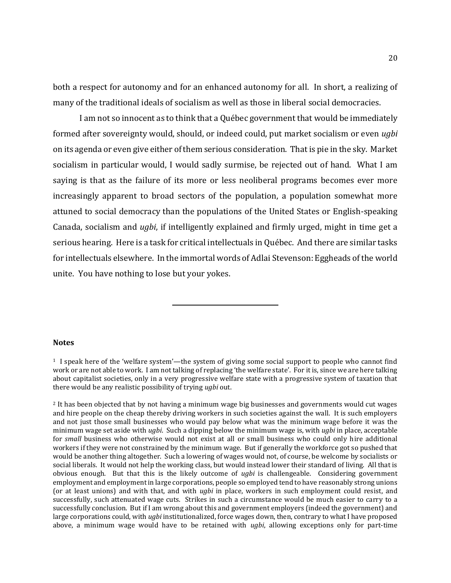both a respect for autonomy and for an enhanced autonomy for all. In short, a realizing of many of the traditional ideals of socialism as well as those in liberal social democracies.

I am not so innocent as to think that a Québec government that would be immediately formed after sovereignty would, should, or indeed could, put market socialism or even *ugbi* on its agenda or even give either of them serious consideration. That is pie in the sky. Market socialism in particular would, I would sadly surmise, be rejected out of hand. What I am saying is that as the failure of its more or less neoliberal programs becomes ever more increasingly apparent to broad sectors of the population, a population somewhat more attuned to social democracy than the populations of the United States or English-speaking Canada, socialism and *ugbi*, if intelligently explained and firmly urged, might in time get a serious hearing. Here is a task for critical intellectuals in Québec. And there are similar tasks for intellectuals elsewhere. In the immortal words of Adlai Stevenson: Eggheads of the world unite. You have nothing to lose but your yokes.

#### **Notes**

 $\overline{a}$ 

<sup>1</sup> I speak here of the 'welfare system'—the system of giving some social support to people who cannot find work or are not able to work. I am not talking of replacing 'the welfare state'. For it is, since we are here talking about capitalist societies, only in a very progressive welfare state with a progressive system of taxation that there would be any realistic possibility of trying *ugbi* out.

<sup>2</sup> It has been objected that by not having a minimum wage big businesses and governments would cut wages and hire people on the cheap thereby driving workers in such societies against the wall. It is such employers and not just those small businesses who would pay below what was the minimum wage before it was the minimum wage set aside with *ugbi*. Such a dipping below the minimum wage is, with *ugbi* in place, acceptable for *small* business who otherwise would not exist at all or small business who could only hire additional workers if they were not constrained by the minimum wage. But if generally the workforce got so pushed that would be another thing altogether. Such a lowering of wages would not, of course, be welcome by socialists or social liberals. It would not help the working class, but would instead lower their standard of living. All that is obvious enough. But that this is the likely outcome of *ugbi* is challengeable. Considering government employment and employment in large corporations, people so employed tend to have reasonably strong unions (or at least unions) and with that, and with *ugbi* in place, workers in such employment could resist, and successfully, such attenuated wage cuts. Strikes in such a circumstance would be much easier to carry to a successfully conclusion. But if I am wrong about this and government employers (indeed the government) and large corporations could, with *ugbi* institutionalized, force wages down, then, contrary to what I have proposed above, a minimum wage would have to be retained with *ugbi*, allowing exceptions only for part-time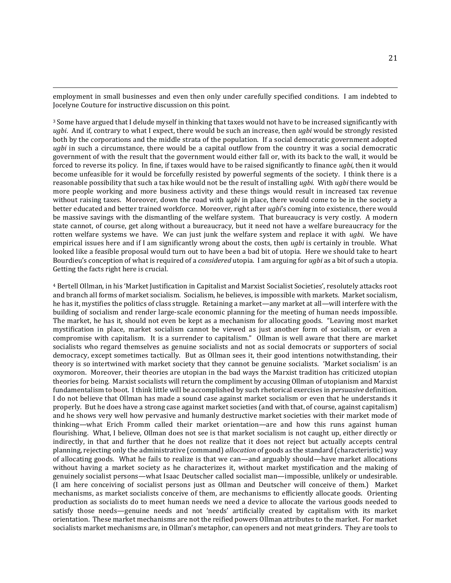employment in small businesses and even then only under carefully specified conditions. I am indebted to Jocelyne Couture for instructive discussion on this point.

 $\overline{a}$ 

<sup>3</sup> Some have argued that I delude myself in thinking that taxes would not have to be increased significantly with *ugbi*. And if, contrary to what I expect, there would be such an increase, then *ugbi* would be strongly resisted both by the corporations and the middle strata of the population. If a social democratic government adopted *ugbi* in such a circumstance, there would be a capital outflow from the country it was a social democratic government of with the result that the government would either fall or, with its back to the wall, it would be forced to reverse its policy. In fine, if taxes would have to be raised significantly to finance *ugbi*, then it would become unfeasible for it would be forcefully resisted by powerful segments of the society. I think there is a reasonable possibility that such a tax hike would not be the result of installing *ugbi*. With *ugbi* there would be more people working and more business activity and these things would result in increased tax revenue without raising taxes. Moreover, down the road with *ugbi* in place, there would come to be in the society a better educated and better trained workforce. Moreover, right after *ugbi*'s coming into existence, there would be massive savings with the dismantling of the welfare system. That bureaucracy is very costly. A modern state cannot, of course, get along without a bureaucracy, but it need not have a welfare bureaucracy for the rotten welfare systems we have. We can just junk the welfare system and replace it with *ugbi*. We have empirical issues here and if I am significantly wrong about the costs, then *ugbi* is certainly in trouble. What looked like a feasible proposal would turn out to have been a bad bit of utopia. Here we should take to heart Bourdieu's conception of what is required of a *considered* utopia. I am arguing for *ugbi* as a bit of such a utopia. Getting the facts right here is crucial.

<sup>4</sup> Bertell Ollman, in his 'Market Justification in Capitalist and Marxist Socialist Societies', resolutely attacks root and branch all forms of market socialism. Socialism, he believes, is impossible with markets. Market socialism, he has it, mystifies the politics of class struggle. Retaining a market—any market at all—will interfere with the building of socialism and render large-scale economic planning for the meeting of human needs impossible. The market, he has it, should not even be kept as a mechanism for allocating goods. "Leaving most market mystification in place, market socialism cannot be viewed as just another form of socialism, or even a compromise with capitalism. It is a surrender to capitalism." Ollman is well aware that there are market socialists who regard themselves as genuine socialists and not as social democrats or supporters of social democracy, except sometimes tactically. But as Ollman sees it, their good intentions notwithstanding, their theory is so intertwined with market society that they cannot be genuine socialists. 'Market socialism' is an oxymoron. Moreover, their theories are utopian in the bad ways the Marxist tradition has criticized utopian theories for being. Marxist socialists will return the compliment by accusing Ollman of utopianism and Marxist fundamentalism to boot. I think little will be accomplished by such rhetorical exercises in *persuasive* definition. I do not believe that Ollman has made a sound case against market socialism or even that he understands it properly. But he does have a strong case against market societies (and with that, of course, against capitalism) and he shows very well how pervasive and humanly destructive market societies with their market mode of thinking—what Erich Fromm called their market orientation—are and how this runs against human flourishing. What, I believe, Ollman does not see is that market socialism is not caught up, either directly or indirectly, in that and further that he does not realize that it does not reject but actually accepts central planning, rejecting only the administrative (command) *allocation* of goods as the standard (characteristic) way of allocating goods. What he fails to realize is that we can—and arguably should—have market allocations without having a market society as he characterizes it, without market mystification and the making of genuinely socialist persons—what Isaac Deutscher called socialist man—impossible, unlikely or undesirable. (I am here conceiving of socialist persons just as Ollman and Deutscher will conceive of them.) Market mechanisms, as market socialists conceive of them, are mechanisms to efficiently allocate goods. Orienting production as socialists do to meet human needs we need a device to allocate the various goods needed to satisfy those needs—genuine needs and not 'needs' artificially created by capitalism with its market orientation. These market mechanisms are not the reified powers Ollman attributes to the market. For market socialists market mechanisms are, in Ollman's metaphor, can openers and not meat grinders. They are tools to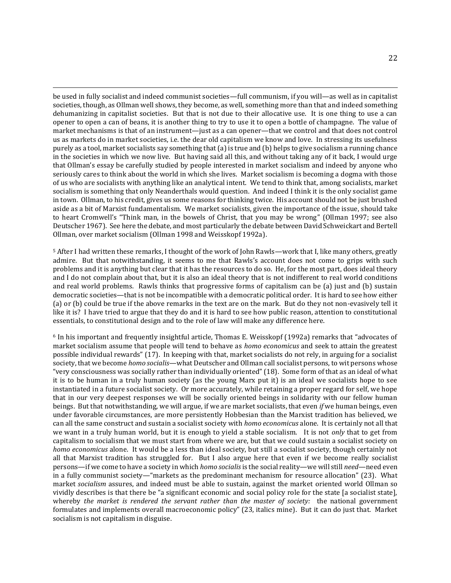be used in fully socialist and indeed communist societies—full communism, if you will—as well as in capitalist societies, though, as Ollman well shows, they become, as well, something more than that and indeed something dehumanizing in capitalist societies. But that is not due to their allocative use. It is one thing to use a can opener to open a can of beans, it is another thing to try to use it to open a bottle of champagne. The value of market mechanisms is that of an instrument—just as a can opener—that we control and that does not control us as markets do in market societies, i.e. the dear old capitalism we know and love. In stressing its usefulness purely as a tool, market socialists say something that (a) is true and (b) helps to give socialism a running chance in the societies in which we now live. But having said all this, and without taking any of it back, I would urge that Ollman's essay be carefully studied by people interested in market socialism and indeed by anyone who seriously cares to think about the world in which she lives. Market socialism is becoming a dogma with those of us who are socialists with anything like an analytical intent. We tend to think that, among socialists, market socialism is something that only Neanderthals would question. And indeed I think it is the only socialist game in town. Ollman, to his credit, gives us some reasons for thinking twice. His account should not be just brushed aside as a bit of Marxist fundamentalism. We market socialists, given the importance of the issue, should take to heart Cromwell's "Think man, in the bowels of Christ, that you may be wrong" (Ollman 1997; see also Deutscher 1967). See here the debate, and most particularly the debate between David Schweickart and Bertell Ollman, over market socialism (Ollman 1998 and Weisskopf 1992a).

 $\overline{a}$ 

<sup>5</sup> After I had written these remarks, I thought of the work of John Rawls—work that I, like many others, greatly admire. But that notwithstanding, it seems to me that Rawls's account does not come to grips with such problems and it is anything but clear that it has the resources to do so. He, for the most part, does ideal theory and I do not complain about that, but it is also an ideal theory that is not indifferent to real world conditions and real world problems. Rawls thinks that progressive forms of capitalism can be (a) just and (b) sustain democratic societies—that is not be incompatible with a democratic political order. It is hard to see how either (a) or (b) could be true if the above remarks in the text are on the mark. But do they not non-evasively tell it like it is? I have tried to argue that they do and it is hard to see how public reason, attention to constitutional essentials, to constitutional design and to the role of law will make any difference here.

<sup>6</sup> In his important and frequently insightful article, Thomas E. Weisskopf (1992a) remarks that "advocates of market socialism assume that people will tend to behave as *homo economicus* and seek to attain the greatest possible individual rewards" (17). In keeping with that, market socialists do not rely, in arguing for a socialist society, that we become *homo socialis*—what Deutscher and Ollman call socialist persons, to wit persons whose "very consciousness was socially rather than individually oriented" (18). Some form of that as an ideal of what it is to be human in a truly human society (as the young Marx put it) is an ideal we socialists hope to see instantiated in a future socialist society. Or more accurately, while retaining a proper regard for self, we hope that in our very deepest responses we will be socially oriented beings in solidarity with our fellow human beings. But that notwithstanding, we will argue, if we are market socialists, that even *if* we human beings, even under favorable circumstances, are more persistently Hobbesian than the Marxist tradition has believed, we can all the same construct and sustain a socialist society with *homo economicus* alone. It is certainly not all that we want in a truly human world, but it is enough to yield a stable socialism. It is not *only* that to get from capitalism to socialism that we must start from where we are, but that we could sustain a socialist society on *homo economicus* alone. It would be a less than ideal society, but still a socialist society, though certainly not all that Marxist tradition has struggled for. But I also argue here that even if we become really socialist persons—if we come to have a society in which *homo socialis*is the social reality—we will still *need*—need even in a fully communist society—"markets as the predominant mechanism for resource allocation" (23). What market *socialism* assures, and indeed must be able to sustain, against the market oriented world Ollman so vividly describes is that there be "a significant economic and social policy role for the state [a socialist state], whereby *the market is rendered the servant rather than the master of society:* the national government formulates and implements overall macroeconomic policy" (23, italics mine). But it can do just that. Market socialism is not capitalism in disguise.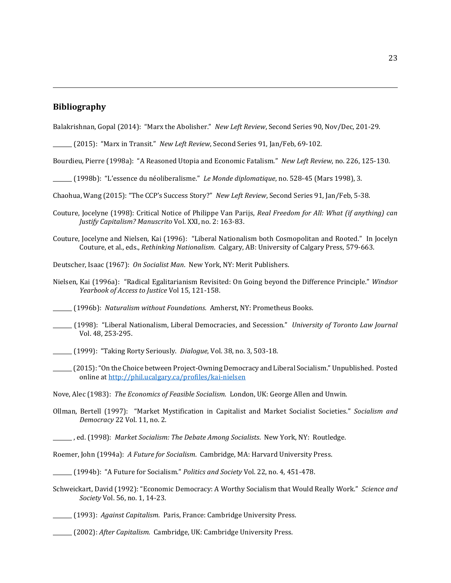#### **Bibliography**

 $\overline{a}$ 

Balakrishnan, Gopal (2014): "Marx the Abolisher." *New Left Review*, Second Series 90, Nov/Dec, 201-29.

- \_\_\_\_\_\_\_ (2015): "Marx in Transit." *New Left Review*, Second Series 91, Jan/Feb, 69-102.
- Bourdieu, Pierre (1998a): "A Reasoned Utopia and Economic Fatalism." *New Left Review*, no. 226, 125-130.
- \_\_\_\_\_\_\_ (1998b): "L'essence du néoliberalisme." *Le Monde diplomatique*, no. 528-45 (Mars 1998), 3.
- Chaohua, Wang (2015): "The CCP's Success Story?" *New Left Review*, Second Series 91, Jan/Feb, 5-38.
- Couture, Jocelyne (1998): Critical Notice of Philippe Van Parijs, *Real Freedom for All: What (if anything) can Justify Capitalism? Manuscrito* Vol. XXI, no. 2: 163-83.
- Couture, Jocelyne and Nielsen, Kai (1996): "Liberal Nationalism both Cosmopolitan and Rooted." In Jocelyn Couture, et al., eds., *Rethinking Nationalism*. Calgary, AB: University of Calgary Press, 579-663.
- Deutscher, Isaac (1967): *On Socialist Man*. New York, NY: Merit Publishers.
- Nielsen, Kai (1996a): "Radical Egalitarianism Revisited: On Going beyond the Difference Principle." *Windsor Yearbook of Access to Justice* Vol 15, 121-158.

\_\_\_\_\_\_\_ (1996b): *Naturalism without Foundations*. Amherst, NY: Prometheus Books.

- \_\_\_\_\_\_\_ (1998): "Liberal Nationalism, Liberal Democracies, and Secession." *University of Toronto Law Journal*  Vol. 48, 253-295.
- \_\_\_\_\_\_\_ (1999): "Taking Rorty Seriously. *Dialogue*, Vol. 38, no. 3, 503-18.
- \_\_\_\_\_\_\_ (2015): "On the Choice between Project-Owning Democracy and Liberal Socialism." Unpublished. Posted online a[t http://phil.ucalgary.ca/profiles/kai-nielsen](http://phil.ucalgary.ca/profiles/kai-nielsen)

Nove, Alec (1983): *The Economics of Feasible Socialism*. London, UK: George Allen and Unwin.

- Ollman, Bertell (1997): "Market Mystification in Capitalist and Market Socialist Societies." *Socialism and Democracy* 22 Vol. 11, no. 2.
- \_\_\_\_\_\_\_ , ed. (1998): *Market Socialism: The Debate Among Socialists*. New York, NY: Routledge.

Roemer, John (1994a): *A Future for Socialism*. Cambridge, MA: Harvard University Press.

- Schweickart, David (1992): "Economic Democracy: A Worthy Socialism that Would Really Work." *Science and Society* Vol. 56, no. 1, 14-23.
- \_\_\_\_\_\_\_ (1993): *Against Capitalism*. Paris, France: Cambridge University Press.
- \_\_\_\_\_\_\_ (2002): *After Capitalism.* Cambridge, UK: Cambridge University Press.

\_\_\_\_\_\_\_ (1994b): "A Future for Socialism." *Politics and Society* Vol. 22, no. 4, 451-478.